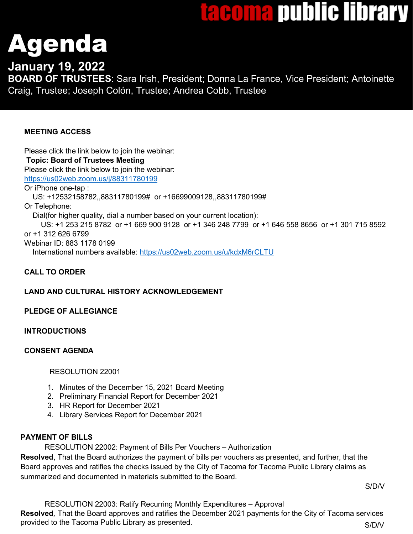## tacoma public library

# Agenda

**January 19, 2022**

**BOARD OF TRUSTEES**: Sara Irish, President; Donna La France, Vice President; Antoinette Craig, Trustee; Joseph Colón, Trustee; Andrea Cobb, Trustee

## **MEETING ACCESS**

Please click the link below to join the webinar: **Topic: Board of Trustees Meeting**  Please click the link below to join the webinar: <https://us02web.zoom.us/j/88311780199> Or iPhone one-tap : US: +12532158782,,88311780199# or +16699009128,,88311780199# Or Telephone: Dial(for higher quality, dial a number based on your current location): US: +1 253 215 8782 or +1 669 900 9128 or +1 346 248 7799 or +1 646 558 8656 or +1 301 715 8592 or +1 312 626 6799 Webinar ID: 883 1178 0199 International numbers available:<https://us02web.zoom.us/u/kdxM6rCLTU>

## **CALL TO ORDER**

## **LAND AND CULTURAL HISTORY ACKNOWLEDGEMENT**

## **PLEDGE OF ALLEGIANCE**

## **INTRODUCTIONS**

## **CONSENT AGENDA**

## RESOLUTION 22001

- 1. Minutes of the December 15, 2021 Board Meeting
- 2. Preliminary Financial Report for December 2021
- 3. HR Report for December 2021
- 4. Library Services Report for December 2021

## **PAYMENT OF BILLS**

RESOLUTION 22002: Payment of Bills Per Vouchers – Authorization

**Resolved**, That the Board authorizes the payment of bills per vouchers as presented, and further, that the Board approves and ratifies the checks issued by the City of Tacoma for Tacoma Public Library claims as summarized and documented in materials submitted to the Board.

S/D/V

RESOLUTION 22003: Ratify Recurring Monthly Expenditures – Approval **Resolved***,* That the Board approves and ratifies the December 2021 payments for the City of Tacoma services provided to the Tacoma Public Library as presented. Show the state of the SAD/V state of the SAD/V